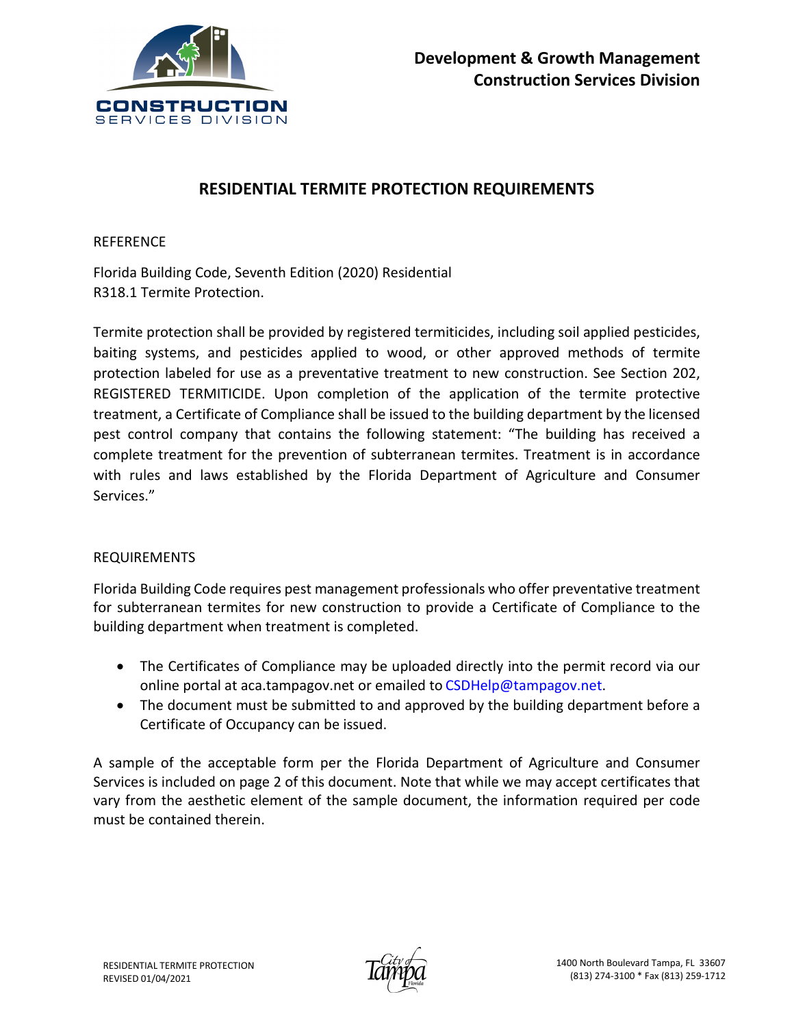

## **RESIDENTIAL TERMITE PROTECTION REQUIREMENTS**

## REFERENCE

Florida Building Code, Seventh Edition (2020) Residential R318.1 Termite Protection.

Termite protection shall be provided by registered termiticides, including soil applied pesticides, baiting systems, and pesticides applied to wood, or other approved methods of termite protection labeled for use as a preventative treatment to new construction. See Section 202, REGISTERED TERMITICIDE. Upon completion of the application of the termite protective treatment, a Certificate of Compliance shall be issued to the building department by the licensed pest control company that contains the following statement: "The building has received a complete treatment for the prevention of subterranean termites. Treatment is in accordance with rules and laws established by the Florida Department of Agriculture and Consumer Services."

## REQUIREMENTS

Florida Building Code requires pest management professionals who offer preventative treatment for subterranean termites for new construction to provide a Certificate of Compliance to the building department when treatment is completed.

- The Certificates of Compliance may be uploaded directly into the permit record via our online portal at aca.tampagov.net or emailed to [CSDHelp@tampagov.net.](mailto:CSDHelp@tampagov.net)
- The document must be submitted to and approved by the building department before a Certificate of Occupancy can be issued.

A sample of the acceptable form per the Florida Department of Agriculture and Consumer Services is included on page 2 of this document. Note that while we may accept certificates that vary from the aesthetic element of the sample document, the information required per code must be contained therein.